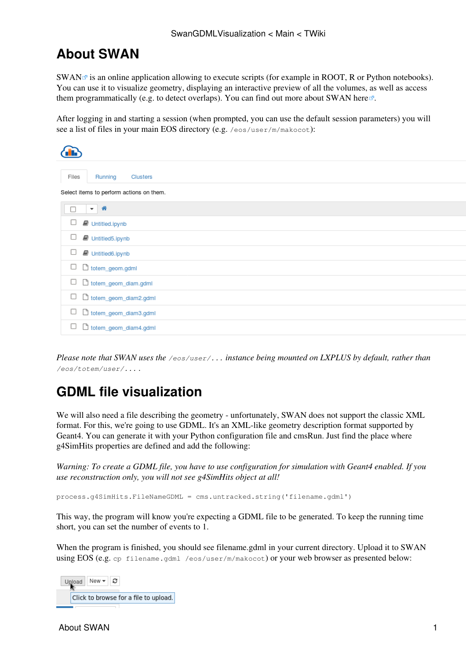## **About SWAN**

 $SWAN \nsubseteq$  $SWAN \nsubseteq$  is an online application allowing to execute scripts (for example in ROOT, R or Python notebooks). You can use it to visualize geometry, displaying an interactive preview of all the volumes, as well as access them programmatically (e.g. to detect overlaps). You can find out more about SWAN [here](https://swan.web.cern.ch/content/faq)<sup>2</sup>.

After logging in and starting a session (when prompted, you can use the default session parameters) you will see a list of files in your main EOS directory (e.g. /eos/user/m/makocot):

| Files<br>Running<br>Clusters             |
|------------------------------------------|
| Select items to perform actions on them. |
| 省<br>$\overline{\phantom{a}}$            |
| Untitled.ipynb                           |
| □<br>Untitled5.ipynb                     |
| □<br>Untitled6.ipynb                     |
| □<br>b totem_geom.gdml                   |
| □<br>b totem_geom_diam.gdml              |
| □<br>diam2.gdml                          |
| □<br>ditotem_geom_diam3.gdml             |
| □<br>ditotem_geom_diam4.gdml             |
|                                          |

*Please note that SWAN uses the /eos/user/... instance being mounted on LXPLUS by default, rather than /eos/totem/user/... .*

### **GDML file visualization**

We will also need a file describing the geometry - unfortunately, SWAN does not support the classic XML format. For this, we're going to use GDML. It's an XML-like geometry description format supported by Geant4. You can generate it with your [Python configuration file and cmsRun](https://twiki.cern.ch/twiki/bin/view/CMSPublic/SWGuideAboutPythonConfigFile). Just find the place where g4SimHits properties are defined and add the following:

*Warning: To create a GDML file, you have to use configuration for simulation with Geant4 enabled. If you use reconstruction only, you will not see g4SimHits object at all!*

process.g4SimHits.FileNameGDML = cms.untracked.string('filename.gdml')

This way, the program will know you're expecting a GDML file to be generated. To keep the running time short, you can set the number of events to 1.

When the program is finished, you should see filename.gdml in your current directory. Upload it to SWAN using EOS (e.g. cp filename.gdml /eos/user/m/makocot) or your web browser as presented below:

New ▼ 2 Upload Click to browse for a file to upload.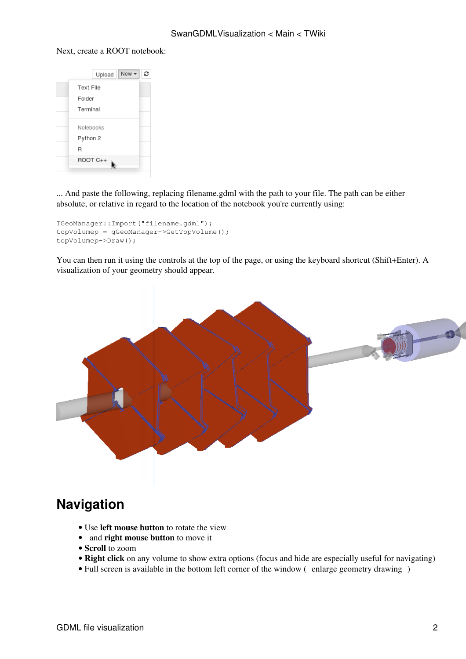#### Next, create a ROOT notebook:



... And paste the following, replacing filename.gdml with the path to your file. The path can be either absolute, or relative in regard to the location of the notebook you're currently using:

```
TGeoManager::Import("filename.gdml");
topVolumep = gGeoManager->GetTopVolume();
topVolumep->Draw();
```
You can then run it using the controls at the top of the page, or using the keyboard shortcut (Shift+Enter). A visualization of your geometry should appear.



## **Navigation**

- Use **left mouse button** to rotate the view
- and **right mouse button** to move it
- **Scroll** to zoom
- **Right click** on any volume to show extra options (focus and hide are especially useful for navigating)
- Full screen is available in the bottom left corner of the window (enlarge geometry drawing)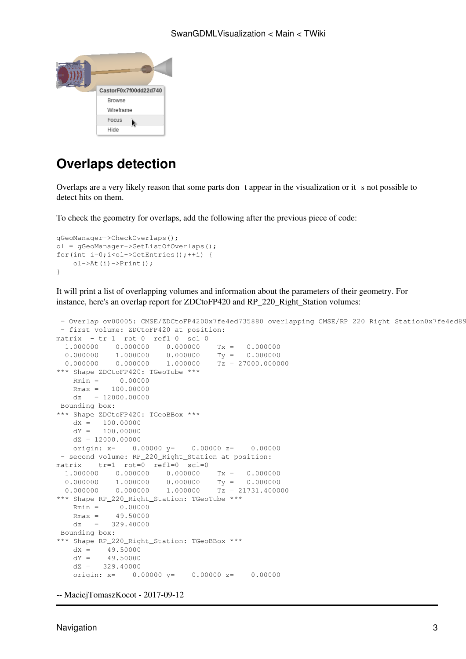

# **Overlaps detection**

Overlaps are a very likely reason that some parts dont appear in the visualization or it s not possible to detect hits on them.

To check the geometry for overlaps, add the following after the previous piece of code:

```
gGeoManager->CheckOverlaps();
ol = gGeoManager->GetListOfOverlaps();
for(int i=0;i<ol->GetEntries();++i) {
    ol->At(i)->Print(i);
}
```
It will print a list of overlapping volumes and information about the parameters of their geometry. For instance, here's an overlap report for ZDCtoFP420 and RP\_220\_Right\_Station volumes:

```
= Overlap ov00005: CMSE/ZDCtoFP4200x7fe4ed735880 overlapping CMSE/RP_220_Right_Station0x7fe4ed89
  - first volume: ZDCtoFP420 at position:
matrix - tr=1 rot=0 refl=0 scl=0
  1.000000 0.000000 0.000000 Tx = 0.000000
 0.000000 1.000000 0.000000 Ty = 0.000000<br>0.000000 0.000000 1.000000 Tz = 27000.0000\overline{1.000000} \overline{1z} = 27000.000000
*** Shape ZDCtoFP420: TGeoTube ***
    Rmin = 0.00000Rmax = 100.00000dz = 12000.00000 Bounding box:
*** Shape ZDCtoFP420: TGeoBBox ***
    dX = 100.00000dY = 100.00000dZ = 12000.00000origin: x= 0.00000 y= 0.00000 z= 0.00000 - second volume: RP_220_Right_Station at position:
matrix - tr=1 rot=0 refl=0 scl=0
  1.000000  0.000000  0.000000  Tx = 0.000000<br>0.000000  1.000000  0.000000  Ty = 0.000000
 0.000000 1.000000 0.000000<br>0.000000 0.000000 1.0000001.000000 Tz = 21731.400000
*** Shape RP_220_Right_Station: TGeoTube ***
    Rmin = 0.00000Rmax = 49.50000dz = 329.40000 Bounding box:
*** Shape RP_220_Right_Station: TGeoBBox ***
    dX = 49.50000dY = 49.50000dZ = 329.40000 origin: x= 0.00000 y= 0.00000 z= 0.00000
```

```
-- MaciejTomaszKocot - 2017-09-12
```